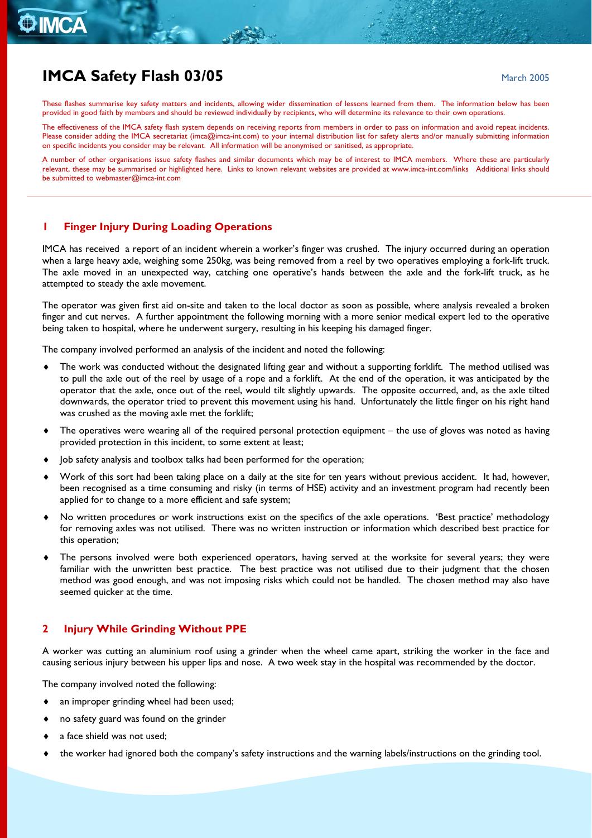# **O IMCA**

## **IMCA Safety Flash 03/05 March 2005** March 2005

These flashes summarise key safety matters and incidents, allowing wider dissemination of lessons learned from them. The information below has been provided in good faith by members and should be reviewed individually by recipients, who will determine its relevance to their own operations.

The effectiveness of the IMCA safety flash system depends on receiving reports from members in order to pass on information and avoid repeat incidents. Please consider adding the IMCA secretariat ([imca@imca-int.com](mailto:imca@imca-int.com)) to your internal distribution list for safety alerts and/or manually submitting information on specific incidents you consider may be relevant. All information will be anonymised or sanitised, as appropriate.

A number of other organisations issue safety flashes and similar documents which may be of interest to IMCA members. Where these are particularly relevant, these may be summarised or highlighted here. Links to known relevant websites are provided at [www.imca-int.com/links](http://www.imca-int.com/links) Additional links should be submitted to [webmaster@imca-int.com](mailto:webmaster@imca-int.com) 

#### **1 Finger Injury During Loading Operations**

IMCA has received a report of an incident wherein a worker's finger was crushed. The injury occurred during an operation when a large heavy axle, weighing some 250kg, was being removed from a reel by two operatives employing a fork-lift truck. The axle moved in an unexpected way, catching one operative's hands between the axle and the fork-lift truck, as he attempted to steady the axle movement.

The operator was given first aid on-site and taken to the local doctor as soon as possible, where analysis revealed a broken finger and cut nerves. A further appointment the following morning with a more senior medical expert led to the operative being taken to hospital, where he underwent surgery, resulting in his keeping his damaged finger.

The company involved performed an analysis of the incident and noted the following:

- The work was conducted without the designated lifting gear and without a supporting forklift. The method utilised was to pull the axle out of the reel by usage of a rope and a forklift. At the end of the operation, it was anticipated by the operator that the axle, once out of the reel, would tilt slightly upwards. The opposite occurred, and, as the axle tilted downwards, the operator tried to prevent this movement using his hand. Unfortunately the little finger on his right hand was crushed as the moving axle met the forklift;
- $\bullet$  The operatives were wearing all of the required personal protection equipment the use of gloves was noted as having provided protection in this incident, to some extent at least;
- Job safety analysis and toolbox talks had been performed for the operation;
- Work of this sort had been taking place on a daily at the site for ten years without previous accident. It had, however, been recognised as a time consuming and risky (in terms of HSE) activity and an investment program had recently been applied for to change to a more efficient and safe system;
- No written procedures or work instructions exist on the specifics of the axle operations. 'Best practice' methodology for removing axles was not utilised. There was no written instruction or information which described best practice for this operation;
- The persons involved were both experienced operators, having served at the worksite for several years; they were familiar with the unwritten best practice. The best practice was not utilised due to their judgment that the chosen method was good enough, and was not imposing risks which could not be handled. The chosen method may also have seemed quicker at the time.

#### **2 Injury While Grinding Without PPE**

A worker was cutting an aluminium roof using a grinder when the wheel came apart, striking the worker in the face and causing serious injury between his upper lips and nose. A two week stay in the hospital was recommended by the doctor.

The company involved noted the following:

- an improper grinding wheel had been used;
- no safety guard was found on the grinder
- a face shield was not used;
- the worker had ignored both the company's safety instructions and the warning labels/instructions on the grinding tool.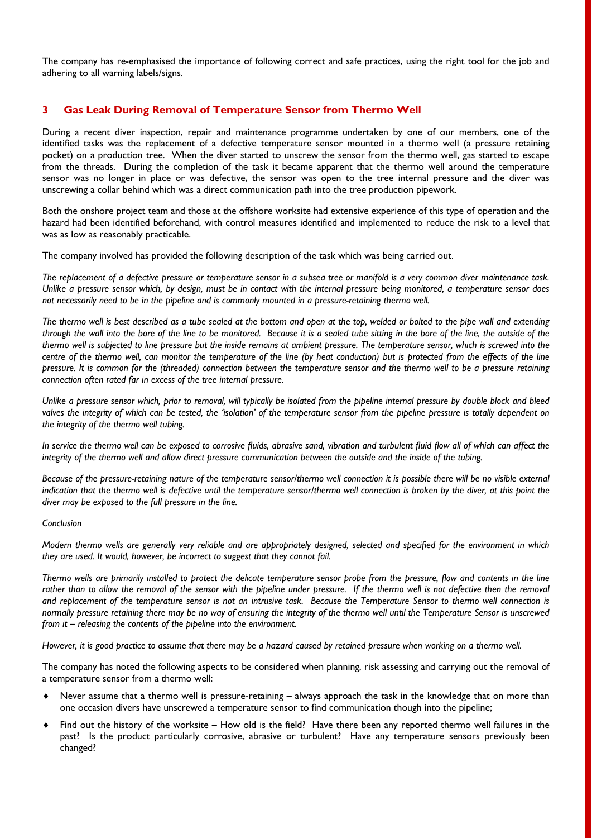The company has re-emphasised the importance of following correct and safe practices, using the right tool for the job and adhering to all warning labels/signs.

#### **3 Gas Leak During Removal of Temperature Sensor from Thermo Well**

During a recent diver inspection, repair and maintenance programme undertaken by one of our members, one of the identified tasks was the replacement of a defective temperature sensor mounted in a thermo well (a pressure retaining pocket) on a production tree. When the diver started to unscrew the sensor from the thermo well, gas started to escape from the threads. During the completion of the task it became apparent that the thermo well around the temperature sensor was no longer in place or was defective, the sensor was open to the tree internal pressure and the diver was unscrewing a collar behind which was a direct communication path into the tree production pipework.

Both the onshore project team and those at the offshore worksite had extensive experience of this type of operation and the hazard had been identified beforehand, with control measures identified and implemented to reduce the risk to a level that was as low as reasonably practicable.

The company involved has provided the following description of the task which was being carried out.

*The replacement of a defective pressure or temperature sensor in a subsea tree or manifold is a very common diver maintenance task. Unlike a pressure sensor which, by design, must be in contact with the internal pressure being monitored, a temperature sensor does not necessarily need to be in the pipeline and is commonly mounted in a pressure-retaining thermo well.* 

*The thermo well is best described as a tube sealed at the bottom and open at the top, welded or bolted to the pipe wall and extending through the wall into the bore of the line to be monitored. Because it is a sealed tube sitting in the bore of the line, the outside of the thermo well is subjected to line pressure but the inside remains at ambient pressure. The temperature sensor, which is screwed into the centre of the thermo well, can monitor the temperature of the line (by heat conduction) but is protected from the effects of the line pressure. It is common for the (threaded) connection between the temperature sensor and the thermo well to be a pressure retaining connection often rated far in excess of the tree internal pressure.* 

*Unlike a pressure sensor which, prior to removal, will typically be isolated from the pipeline internal pressure by double block and bleed valves the integrity of which can be tested, the 'isolation' of the temperature sensor from the pipeline pressure is totally dependent on the integrity of the thermo well tubing.* 

*In service the thermo well can be exposed to corrosive fluids, abrasive sand, vibration and turbulent fluid flow all of which can affect the integrity of the thermo well and allow direct pressure communication between the outside and the inside of the tubing.* 

*Because of the pressure-retaining nature of the temperature sensor/thermo well connection it is possible there will be no visible external*  indication that the thermo well is defective until the temperature sensor/thermo well connection is broken by the diver, at this point the *diver may be exposed to the full pressure in the line.* 

#### *Conclusion*

*Modern thermo wells are generally very reliable and are appropriately designed, selected and specified for the environment in which they are used. It would, however, be incorrect to suggest that they cannot fail.* 

*Thermo wells are primarily installed to protect the delicate temperature sensor probe from the pressure, flow and contents in the line*  rather than to allow the removal of the sensor with the pipeline under pressure. If the thermo well is not defective then the removal *and replacement of the temperature sensor is not an intrusive task. Because the Temperature Sensor to thermo well connection is normally pressure retaining there may be no way of ensuring the integrity of the thermo well until the Temperature Sensor is unscrewed from it – releasing the contents of the pipeline into the environment.* 

*However, it is good practice to assume that there may be a hazard caused by retained pressure when working on a thermo well.* 

The company has noted the following aspects to be considered when planning, risk assessing and carrying out the removal of a temperature sensor from a thermo well:

- Never assume that a thermo well is pressure-retaining always approach the task in the knowledge that on more than one occasion divers have unscrewed a temperature sensor to find communication though into the pipeline;
- Find out the history of the worksite How old is the field? Have there been any reported thermo well failures in the past? Is the product particularly corrosive, abrasive or turbulent? Have any temperature sensors previously been changed?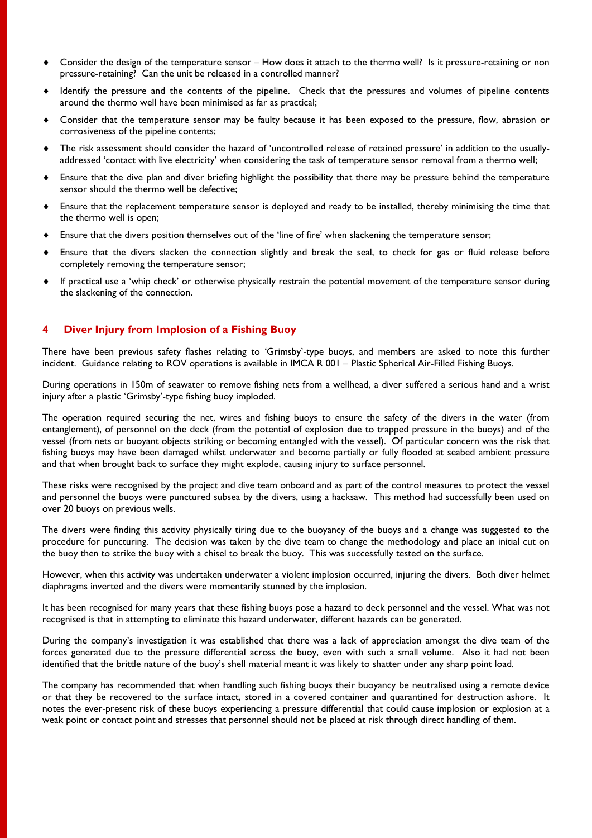- Consider the design of the temperature sensor How does it attach to the thermo well? Is it pressure-retaining or non pressure-retaining? Can the unit be released in a controlled manner?
- Identify the pressure and the contents of the pipeline. Check that the pressures and volumes of pipeline contents around the thermo well have been minimised as far as practical;
- Consider that the temperature sensor may be faulty because it has been exposed to the pressure, flow, abrasion or corrosiveness of the pipeline contents;
- The risk assessment should consider the hazard of 'uncontrolled release of retained pressure' in addition to the usuallyaddressed 'contact with live electricity' when considering the task of temperature sensor removal from a thermo well;
- Ensure that the dive plan and diver briefing highlight the possibility that there may be pressure behind the temperature sensor should the thermo well be defective;
- Ensure that the replacement temperature sensor is deployed and ready to be installed, thereby minimising the time that the thermo well is open;
- Ensure that the divers position themselves out of the 'line of fire' when slackening the temperature sensor;
- Ensure that the divers slacken the connection slightly and break the seal, to check for gas or fluid release before completely removing the temperature sensor;
- If practical use a 'whip check' or otherwise physically restrain the potential movement of the temperature sensor during the slackening of the connection.

#### **4 Diver Injury from Implosion of a Fishing Buoy**

There have been previous safety flashes relating to 'Grimsby'-type buoys, and members are asked to note this further incident. Guidance relating to ROV operations is available in IMCA R 001 – Plastic Spherical Air-Filled Fishing Buoys.

During operations in 150m of seawater to remove fishing nets from a wellhead, a diver suffered a serious hand and a wrist injury after a plastic 'Grimsby'-type fishing buoy imploded.

The operation required securing the net, wires and fishing buoys to ensure the safety of the divers in the water (from entanglement), of personnel on the deck (from the potential of explosion due to trapped pressure in the buoys) and of the vessel (from nets or buoyant objects striking or becoming entangled with the vessel). Of particular concern was the risk that fishing buoys may have been damaged whilst underwater and become partially or fully flooded at seabed ambient pressure and that when brought back to surface they might explode, causing injury to surface personnel.

These risks were recognised by the project and dive team onboard and as part of the control measures to protect the vessel and personnel the buoys were punctured subsea by the divers, using a hacksaw. This method had successfully been used on over 20 buoys on previous wells.

The divers were finding this activity physically tiring due to the buoyancy of the buoys and a change was suggested to the procedure for puncturing. The decision was taken by the dive team to change the methodology and place an initial cut on the buoy then to strike the buoy with a chisel to break the buoy. This was successfully tested on the surface.

However, when this activity was undertaken underwater a violent implosion occurred, injuring the divers. Both diver helmet diaphragms inverted and the divers were momentarily stunned by the implosion.

It has been recognised for many years that these fishing buoys pose a hazard to deck personnel and the vessel. What was not recognised is that in attempting to eliminate this hazard underwater, different hazards can be generated.

During the company's investigation it was established that there was a lack of appreciation amongst the dive team of the forces generated due to the pressure differential across the buoy, even with such a small volume. Also it had not been identified that the brittle nature of the buoy's shell material meant it was likely to shatter under any sharp point load.

The company has recommended that when handling such fishing buoys their buoyancy be neutralised using a remote device or that they be recovered to the surface intact, stored in a covered container and quarantined for destruction ashore. It notes the ever-present risk of these buoys experiencing a pressure differential that could cause implosion or explosion at a weak point or contact point and stresses that personnel should not be placed at risk through direct handling of them.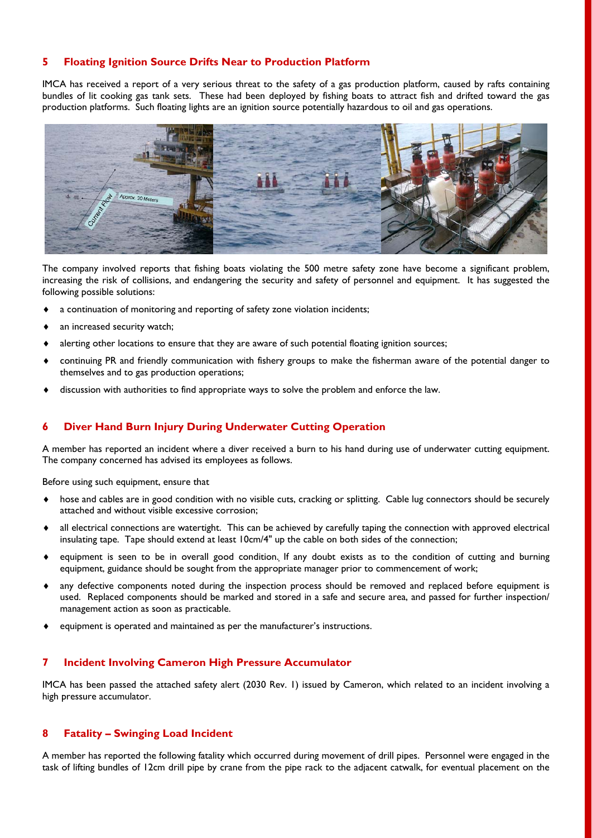#### **5 Floating Ignition Source Drifts Near to Production Platform**

IMCA has received a report of a very serious threat to the safety of a gas production platform, caused by rafts containing bundles of lit cooking gas tank sets. These had been deployed by fishing boats to attract fish and drifted toward the gas production platforms. Such floating lights are an ignition source potentially hazardous to oil and gas operations.



The company involved reports that fishing boats violating the 500 metre safety zone have become a significant problem, increasing the risk of collisions, and endangering the security and safety of personnel and equipment. It has suggested the following possible solutions:

- a continuation of monitoring and reporting of safety zone violation incidents;
- an increased security watch;
- alerting other locations to ensure that they are aware of such potential floating ignition sources;
- continuing PR and friendly communication with fishery groups to make the fisherman aware of the potential danger to themselves and to gas production operations;
- discussion with authorities to find appropriate ways to solve the problem and enforce the law.

#### **6 Diver Hand Burn Injury During Underwater Cutting Operation**

A member has reported an incident where a diver received a burn to his hand during use of underwater cutting equipment. The company concerned has advised its employees as follows.

Before using such equipment, ensure that

- hose and cables are in good condition with no visible cuts, cracking or splitting. Cable lug connectors should be securely attached and without visible excessive corrosion;
- all electrical connections are watertight. This can be achieved by carefully taping the connection with approved electrical insulating tape. Tape should extend at least 10cm/4" up the cable on both sides of the connection;
- equipment is seen to be in overall good condition. If any doubt exists as to the condition of cutting and burning equipment, guidance should be sought from the appropriate manager prior to commencement of work;
- any defective components noted during the inspection process should be removed and replaced before equipment is used. Replaced components should be marked and stored in a safe and secure area, and passed for further inspection/ management action as soon as practicable.
- equipment is operated and maintained as per the manufacturer's instructions.

#### **7 Incident Involving Cameron High Pressure Accumulator**

IMCA has been passed the attached safety alert (2030 Rev. 1) issued by Cameron, which related to an incident involving a high pressure accumulator.

#### **8 Fatality – Swinging Load Incident**

A member has reported the following fatality which occurred during movement of drill pipes. Personnel were engaged in the task of lifting bundles of 12cm drill pipe by crane from the pipe rack to the adjacent catwalk, for eventual placement on the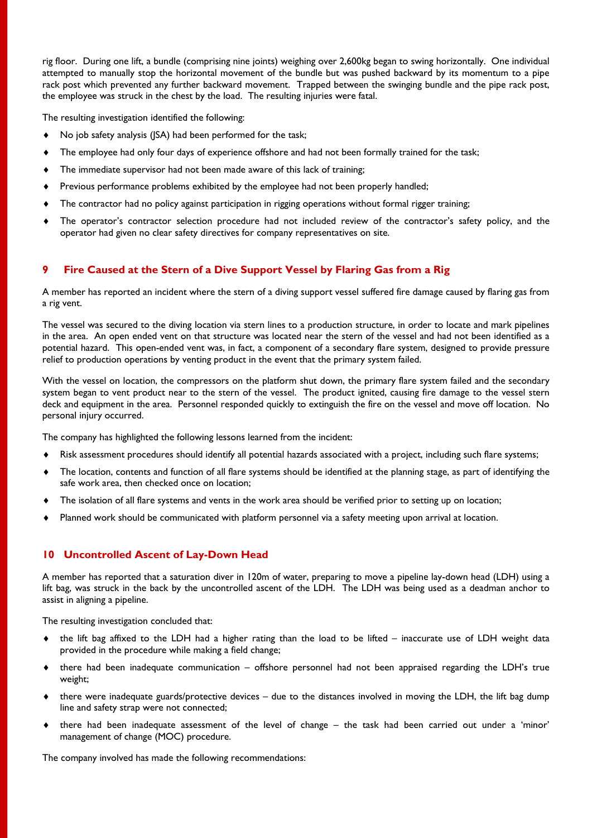rig floor. During one lift, a bundle (comprising nine joints) weighing over 2,600kg began to swing horizontally. One individual attempted to manually stop the horizontal movement of the bundle but was pushed backward by its momentum to a pipe rack post which prevented any further backward movement. Trapped between the swinging bundle and the pipe rack post, the employee was struck in the chest by the load. The resulting injuries were fatal.

The resulting investigation identified the following:

- No job safety analysis (JSA) had been performed for the task;
- The employee had only four days of experience offshore and had not been formally trained for the task;
- The immediate supervisor had not been made aware of this lack of training;
- Previous performance problems exhibited by the employee had not been properly handled;
- The contractor had no policy against participation in rigging operations without formal rigger training;
- The operator's contractor selection procedure had not included review of the contractor's safety policy, and the operator had given no clear safety directives for company representatives on site.

#### **9 Fire Caused at the Stern of a Dive Support Vessel by Flaring Gas from a Rig**

A member has reported an incident where the stern of a diving support vessel suffered fire damage caused by flaring gas from a rig vent.

The vessel was secured to the diving location via stern lines to a production structure, in order to locate and mark pipelines in the area. An open ended vent on that structure was located near the stern of the vessel and had not been identified as a potential hazard. This open-ended vent was, in fact, a component of a secondary flare system, designed to provide pressure relief to production operations by venting product in the event that the primary system failed.

With the vessel on location, the compressors on the platform shut down, the primary flare system failed and the secondary system began to vent product near to the stern of the vessel. The product ignited, causing fire damage to the vessel stern deck and equipment in the area. Personnel responded quickly to extinguish the fire on the vessel and move off location. No personal injury occurred.

The company has highlighted the following lessons learned from the incident:

- Risk assessment procedures should identify all potential hazards associated with a project, including such flare systems;
- The location, contents and function of all flare systems should be identified at the planning stage, as part of identifying the safe work area, then checked once on location;
- The isolation of all flare systems and vents in the work area should be verified prior to setting up on location;
- Planned work should be communicated with platform personnel via a safety meeting upon arrival at location.

#### **10 Uncontrolled Ascent of Lay-Down Head**

A member has reported that a saturation diver in 120m of water, preparing to move a pipeline lay-down head (LDH) using a lift bag, was struck in the back by the uncontrolled ascent of the LDH. The LDH was being used as a deadman anchor to assist in aligning a pipeline.

The resulting investigation concluded that:

- the lift bag affixed to the LDH had a higher rating than the load to be lifted inaccurate use of LDH weight data provided in the procedure while making a field change;
- there had been inadequate communication offshore personnel had not been appraised regarding the LDH's true weight;
- $\bullet$  there were inadequate guards/protective devices due to the distances involved in moving the LDH, the lift bag dump line and safety strap were not connected;
- there had been inadequate assessment of the level of change the task had been carried out under a 'minor' management of change (MOC) procedure.

The company involved has made the following recommendations: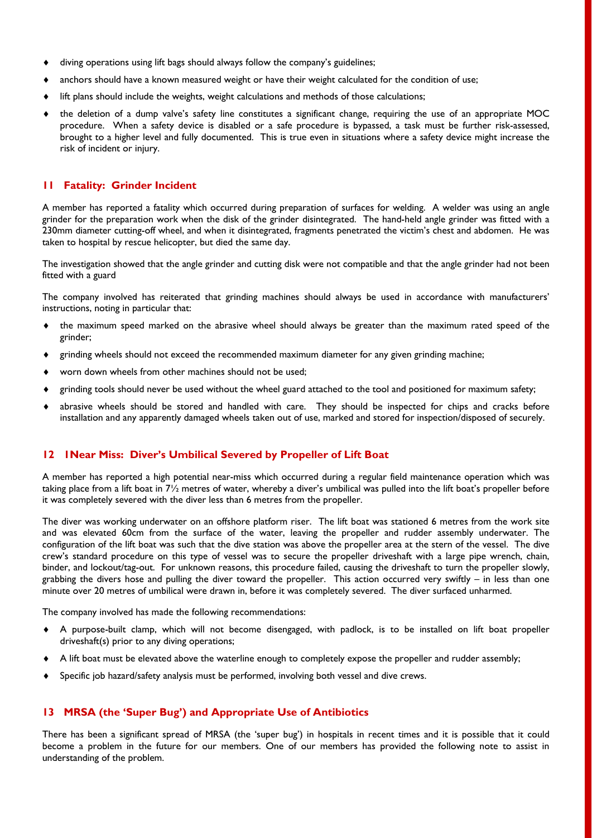- diving operations using lift bags should always follow the company's guidelines;
- anchors should have a known measured weight or have their weight calculated for the condition of use;
- lift plans should include the weights, weight calculations and methods of those calculations;
- the deletion of a dump valve's safety line constitutes a significant change, requiring the use of an appropriate MOC procedure. When a safety device is disabled or a safe procedure is bypassed, a task must be further risk-assessed, brought to a higher level and fully documented. This is true even in situations where a safety device might increase the risk of incident or injury.

#### **11 Fatality: Grinder Incident**

A member has reported a fatality which occurred during preparation of surfaces for welding. A welder was using an angle grinder for the preparation work when the disk of the grinder disintegrated. The hand-held angle grinder was fitted with a 230mm diameter cutting-off wheel, and when it disintegrated, fragments penetrated the victim's chest and abdomen. He was taken to hospital by rescue helicopter, but died the same day.

The investigation showed that the angle grinder and cutting disk were not compatible and that the angle grinder had not been fitted with a guard

The company involved has reiterated that grinding machines should always be used in accordance with manufacturers' instructions, noting in particular that:

- the maximum speed marked on the abrasive wheel should always be greater than the maximum rated speed of the grinder;
- grinding wheels should not exceed the recommended maximum diameter for any given grinding machine;
- worn down wheels from other machines should not be used;
- grinding tools should never be used without the wheel guard attached to the tool and positioned for maximum safety;
- abrasive wheels should be stored and handled with care. They should be inspected for chips and cracks before installation and any apparently damaged wheels taken out of use, marked and stored for inspection/disposed of securely.

#### **12 1Near Miss: Diver's Umbilical Severed by Propeller of Lift Boat**

A member has reported a high potential near-miss which occurred during a regular field maintenance operation which was taking place from a lift boat in  $7\frac{1}{2}$  metres of water, whereby a diver's umbilical was pulled into the lift boat's propeller before it was completely severed with the diver less than 6 metres from the propeller.

The diver was working underwater on an offshore platform riser. The lift boat was stationed 6 metres from the work site and was elevated 60cm from the surface of the water, leaving the propeller and rudder assembly underwater. The configuration of the lift boat was such that the dive station was above the propeller area at the stern of the vessel. The dive crew's standard procedure on this type of vessel was to secure the propeller driveshaft with a large pipe wrench, chain, binder, and lockout/tag-out. For unknown reasons, this procedure failed, causing the driveshaft to turn the propeller slowly, grabbing the divers hose and pulling the diver toward the propeller. This action occurred very swiftly – in less than one minute over 20 metres of umbilical were drawn in, before it was completely severed. The diver surfaced unharmed.

The company involved has made the following recommendations:

- A purpose-built clamp, which will not become disengaged, with padlock, is to be installed on lift boat propeller driveshaft(s) prior to any diving operations;
- A lift boat must be elevated above the waterline enough to completely expose the propeller and rudder assembly;
- Specific job hazard/safety analysis must be performed, involving both vessel and dive crews.

#### **13 MRSA (the 'Super Bug') and Appropriate Use of Antibiotics**

There has been a significant spread of MRSA (the 'super bug') in hospitals in recent times and it is possible that it could become a problem in the future for our members. One of our members has provided the following note to assist in understanding of the problem.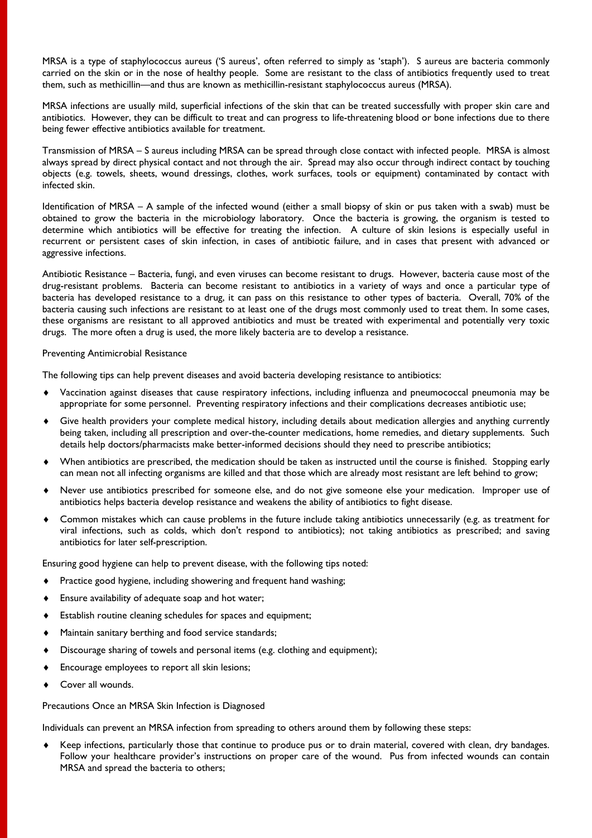MRSA is a type of staphylococcus aureus ('S aureus', often referred to simply as 'staph'). S aureus are bacteria commonly carried on the skin or in the nose of healthy people. Some are resistant to the class of antibiotics frequently used to treat them, such as methicillin—and thus are known as methicillin-resistant staphylococcus aureus (MRSA).

MRSA infections are usually mild, superficial infections of the skin that can be treated successfully with proper skin care and antibiotics. However, they can be difficult to treat and can progress to life-threatening blood or bone infections due to there being fewer effective antibiotics available for treatment.

Transmission of MRSA – S aureus including MRSA can be spread through close contact with infected people. MRSA is almost always spread by direct physical contact and not through the air. Spread may also occur through indirect contact by touching objects (e.g. towels, sheets, wound dressings, clothes, work surfaces, tools or equipment) contaminated by contact with infected skin.

Identification of MRSA – A sample of the infected wound (either a small biopsy of skin or pus taken with a swab) must be obtained to grow the bacteria in the microbiology laboratory. Once the bacteria is growing, the organism is tested to determine which antibiotics will be effective for treating the infection. A culture of skin lesions is especially useful in recurrent or persistent cases of skin infection, in cases of antibiotic failure, and in cases that present with advanced or aggressive infections.

Antibiotic Resistance – Bacteria, fungi, and even viruses can become resistant to drugs. However, bacteria cause most of the drug-resistant problems. Bacteria can become resistant to antibiotics in a variety of ways and once a particular type of bacteria has developed resistance to a drug, it can pass on this resistance to other types of bacteria. Overall, 70% of the bacteria causing such infections are resistant to at least one of the drugs most commonly used to treat them. In some cases, these organisms are resistant to all approved antibiotics and must be treated with experimental and potentially very toxic drugs. The more often a drug is used, the more likely bacteria are to develop a resistance.

#### Preventing Antimicrobial Resistance

The following tips can help prevent diseases and avoid bacteria developing resistance to antibiotics:

- Vaccination against diseases that cause respiratory infections, including influenza and pneumococcal pneumonia may be appropriate for some personnel. Preventing respiratory infections and their complications decreases antibiotic use;
- Give health providers your complete medical history, including details about medication allergies and anything currently being taken, including all prescription and over-the-counter medications, home remedies, and dietary supplements. Such details help doctors/pharmacists make better-informed decisions should they need to prescribe antibiotics;
- When antibiotics are prescribed, the medication should be taken as instructed until the course is finished. Stopping early can mean not all infecting organisms are killed and that those which are already most resistant are left behind to grow;
- Never use antibiotics prescribed for someone else, and do not give someone else your medication. Improper use of antibiotics helps bacteria develop resistance and weakens the ability of antibiotics to fight disease.
- Common mistakes which can cause problems in the future include taking antibiotics unnecessarily (e.g. as treatment for viral infections, such as colds, which don't respond to antibiotics); not taking antibiotics as prescribed; and saving antibiotics for later self-prescription.

Ensuring good hygiene can help to prevent disease, with the following tips noted:

- Practice good hygiene, including showering and frequent hand washing;
- Ensure availability of adequate soap and hot water;
- Establish routine cleaning schedules for spaces and equipment;
- Maintain sanitary berthing and food service standards;
- Discourage sharing of towels and personal items (e.g. clothing and equipment);
- Encourage employees to report all skin lesions;
- Cover all wounds.

Precautions Once an MRSA Skin Infection is Diagnosed

Individuals can prevent an MRSA infection from spreading to others around them by following these steps:

 Keep infections, particularly those that continue to produce pus or to drain material, covered with clean, dry bandages. Follow your healthcare provider's instructions on proper care of the wound. Pus from infected wounds can contain MRSA and spread the bacteria to others;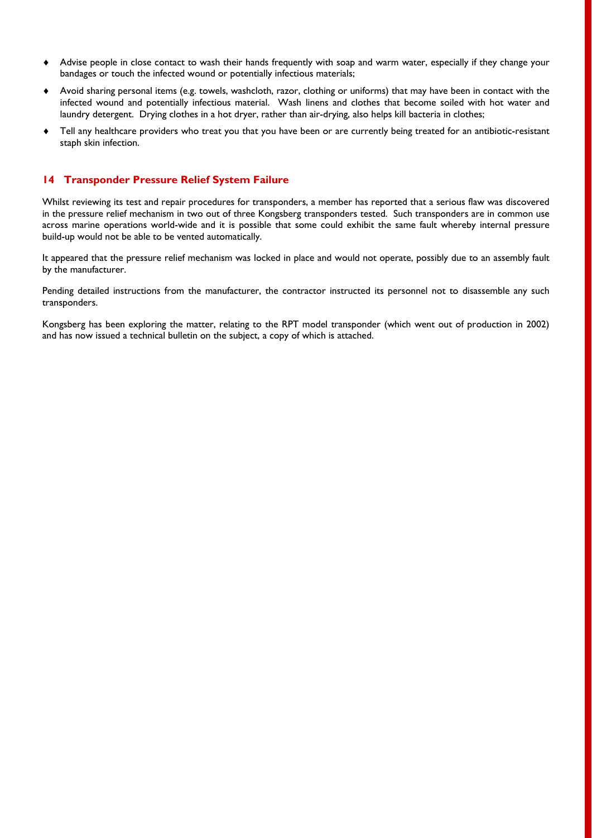- Advise people in close contact to wash their hands frequently with soap and warm water, especially if they change your bandages or touch the infected wound or potentially infectious materials;
- Avoid sharing personal items (e.g. towels, washcloth, razor, clothing or uniforms) that may have been in contact with the infected wound and potentially infectious material. Wash linens and clothes that become soiled with hot water and laundry detergent. Drying clothes in a hot dryer, rather than air-drying, also helps kill bacteria in clothes;
- Tell any healthcare providers who treat you that you have been or are currently being treated for an antibiotic-resistant staph skin infection.

#### **14 Transponder Pressure Relief System Failure**

Whilst reviewing its test and repair procedures for transponders, a member has reported that a serious flaw was discovered in the pressure relief mechanism in two out of three Kongsberg transponders tested. Such transponders are in common use across marine operations world-wide and it is possible that some could exhibit the same fault whereby internal pressure build-up would not be able to be vented automatically.

It appeared that the pressure relief mechanism was locked in place and would not operate, possibly due to an assembly fault by the manufacturer.

Pending detailed instructions from the manufacturer, the contractor instructed its personnel not to disassemble any such transponders.

Kongsberg has been exploring the matter, relating to the RPT model transponder (which went out of production in 2002) and has now issued a technical bulletin on the subject, a copy of which is attached.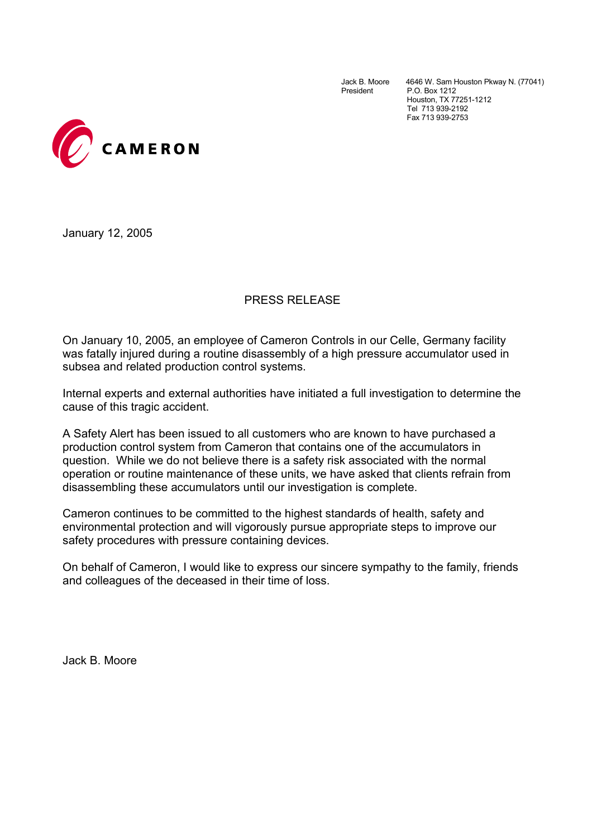Jack B. Moore 4646 W. Sam Houston Pkway N. (77041)<br>President P.O. Box 1212 P.O. Box 1212 Houston, TX 77251-1212 Tel 713 939-2192 Fax 713 939-2753



January 12, 2005

#### PRESS RELEASE

On January 10, 2005, an employee of Cameron Controls in our Celle, Germany facility was fatally injured during a routine disassembly of a high pressure accumulator used in subsea and related production control systems.

Internal experts and external authorities have initiated a full investigation to determine the cause of this tragic accident.

A Safety Alert has been issued to all customers who are known to have purchased a production control system from Cameron that contains one of the accumulators in question. While we do not believe there is a safety risk associated with the normal operation or routine maintenance of these units, we have asked that clients refrain from disassembling these accumulators until our investigation is complete.

Cameron continues to be committed to the highest standards of health, safety and environmental protection and will vigorously pursue appropriate steps to improve our safety procedures with pressure containing devices.

On behalf of Cameron, I would like to express our sincere sympathy to the family, friends and colleagues of the deceased in their time of loss.

Jack B. Moore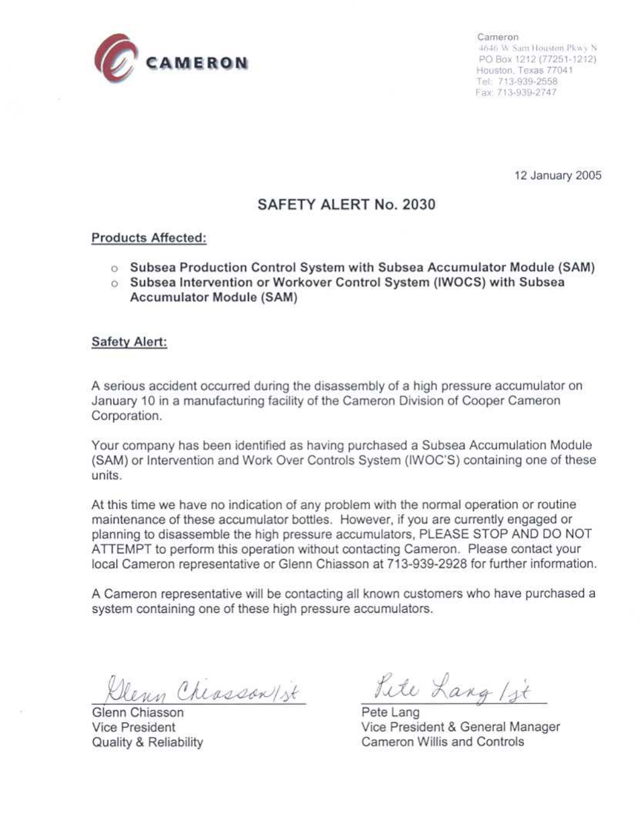

Cameron 4646 W Sam Houston Pkwy N PO Box 1212 (77251-1212). Houston, Texas 77041 Tel: 713-939-2558 Fax: 713-939-2747

12 January 2005

### SAFETY ALERT No. 2030

#### **Products Affected:**

- o Subsea Production Control System with Subsea Accumulator Module (SAM)
- o Subsea Intervention or Workover Control System (IWOCS) with Subsea **Accumulator Module (SAM)**

#### **Safety Alert:**

A serious accident occurred during the disassembly of a high pressure accumulator on January 10 in a manufacturing facility of the Cameron Division of Cooper Cameron Corporation.

Your company has been identified as having purchased a Subsea Accumulation Module (SAM) or Intervention and Work Over Controls System (IWOC'S) containing one of these units

At this time we have no indication of any problem with the normal operation or routine maintenance of these accumulator bottles. However, if you are currently engaged or planning to disassemble the high pressure accumulators, PLEASE STOP AND DO NOT ATTEMPT to perform this operation without contacting Cameron. Please contact your local Cameron representative or Glenn Chiasson at 713-939-2928 for further information.

A Cameron representative will be contacting all known customers who have purchased a system containing one of these high pressure accumulators.

eun Cheassan/st

Glenn Chiasson **Vice President** Quality & Reliability

Lite Lang 1 st

Pete Lang Vice President & General Manager Cameron Willis and Controls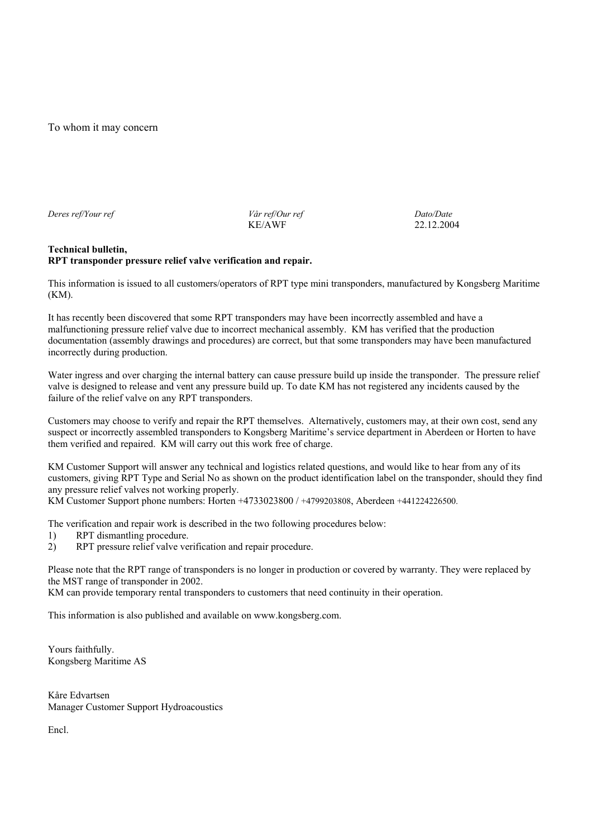To whom it may concern

*Deres ref/Your ref Vår ref/Our ref Dato/Date*  KE/AWF 22.12.2004

#### **Technical bulletin, RPT transponder pressure relief valve verification and repair.**

This information is issued to all customers/operators of RPT type mini transponders, manufactured by Kongsberg Maritime (KM).

It has recently been discovered that some RPT transponders may have been incorrectly assembled and have a malfunctioning pressure relief valve due to incorrect mechanical assembly. KM has verified that the production documentation (assembly drawings and procedures) are correct, but that some transponders may have been manufactured incorrectly during production.

Water ingress and over charging the internal battery can cause pressure build up inside the transponder. The pressure relief valve is designed to release and vent any pressure build up. To date KM has not registered any incidents caused by the failure of the relief valve on any RPT transponders.

Customers may choose to verify and repair the RPT themselves. Alternatively, customers may, at their own cost, send any suspect or incorrectly assembled transponders to Kongsberg Maritime's service department in Aberdeen or Horten to have them verified and repaired. KM will carry out this work free of charge.

KM Customer Support will answer any technical and logistics related questions, and would like to hear from any of its customers, giving RPT Type and Serial No as shown on the product identification label on the transponder, should they find any pressure relief valves not working properly.

KM Customer Support phone numbers: Horten +4733023800 / +4799203808, Aberdeen +441224226500.

The verification and repair work is described in the two following procedures below:

- 1) RPT dismantling procedure.
- 2) RPT pressure relief valve verification and repair procedure.

Please note that the RPT range of transponders is no longer in production or covered by warranty. They were replaced by the MST range of transponder in 2002.

KM can provide temporary rental transponders to customers that need continuity in their operation.

This information is also published and available on www.kongsberg.com.

Yours faithfully. Kongsberg Maritime AS

Kåre Edvartsen Manager Customer Support Hydroacoustics

Encl.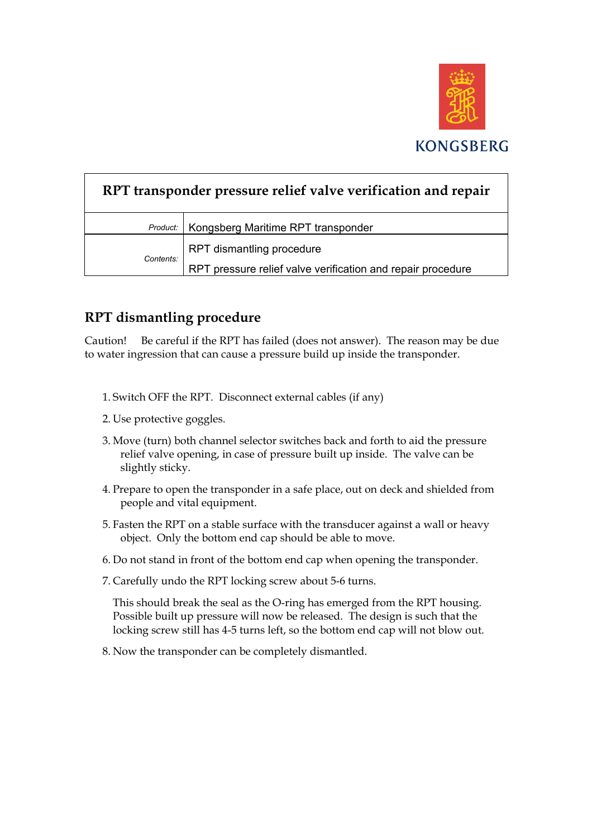

| RPT transponder pressure relief valve verification and repair |                                                             |
|---------------------------------------------------------------|-------------------------------------------------------------|
| Product:                                                      | Kongsberg Maritime RPT transponder                          |
| Contents:                                                     | RPT dismantling procedure                                   |
|                                                               | RPT pressure relief valve verification and repair procedure |

## **RPT dismantling procedure**

Caution! Be careful if the RPT has failed (does not answer). The reason may be due to water ingression that can cause a pressure build up inside the transponder.

- 1. Switch OFF the RPT. Disconnect external cables (if any)
- 2. Use protective goggles.
- 3. Move (turn) both channel selector switches back and forth to aid the pressure relief valve opening, in case of pressure built up inside. The valve can be slightly sticky.
- 4. Prepare to open the transponder in a safe place, out on deck and shielded from people and vital equipment.
- 5. Fasten the RPT on a stable surface with the transducer against a wall or heavy object. Only the bottom end cap should be able to move.
- 6. Do not stand in front of the bottom end cap when opening the transponder.
- 7. Carefully undo the RPT locking screw about 5-6 turns.

This should break the seal as the O-ring has emerged from the RPT housing. Possible built up pressure will now be released. The design is such that the locking screw still has 4-5 turns left, so the bottom end cap will not blow out.

8. Now the transponder can be completely dismantled.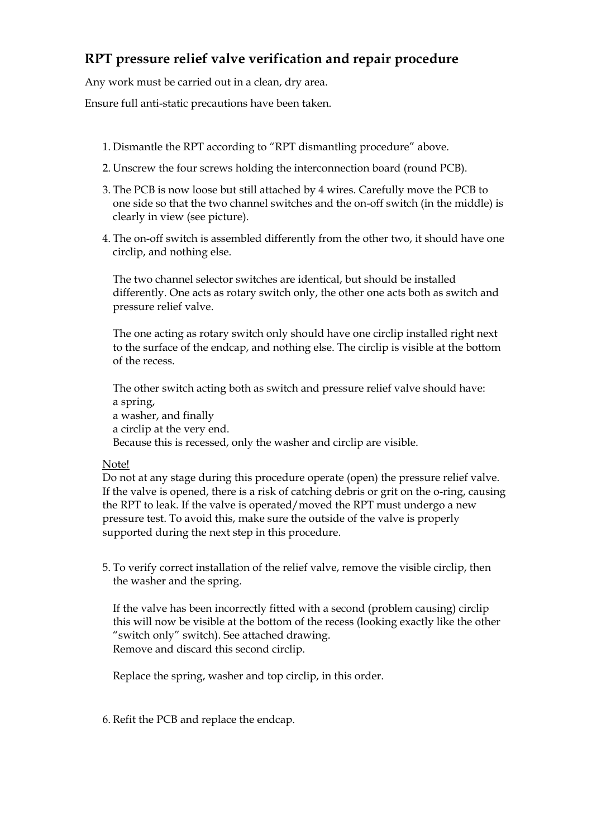## **RPT pressure relief valve verification and repair procedure**

Any work must be carried out in a clean, dry area.

Ensure full anti-static precautions have been taken.

- 1. Dismantle the RPT according to "RPT dismantling procedure" above.
- 2. Unscrew the four screws holding the interconnection board (round PCB).
- 3. The PCB is now loose but still attached by 4 wires. Carefully move the PCB to one side so that the two channel switches and the on-off switch (in the middle) is clearly in view (see picture).
- 4. The on-off switch is assembled differently from the other two, it should have one circlip, and nothing else.

The two channel selector switches are identical, but should be installed differently. One acts as rotary switch only, the other one acts both as switch and pressure relief valve.

The one acting as rotary switch only should have one circlip installed right next to the surface of the endcap, and nothing else. The circlip is visible at the bottom of the recess.

The other switch acting both as switch and pressure relief valve should have: a spring, a washer, and finally a circlip at the very end. Because this is recessed, only the washer and circlip are visible.

#### Note!

Do not at any stage during this procedure operate (open) the pressure relief valve. If the valve is opened, there is a risk of catching debris or grit on the o-ring, causing the RPT to leak. If the valve is operated/moved the RPT must undergo a new pressure test. To avoid this, make sure the outside of the valve is properly supported during the next step in this procedure.

5. To verify correct installation of the relief valve, remove the visible circlip, then the washer and the spring.

If the valve has been incorrectly fitted with a second (problem causing) circlip this will now be visible at the bottom of the recess (looking exactly like the other "switch only" switch). See attached drawing. Remove and discard this second circlip.

Replace the spring, washer and top circlip, in this order.

6. Refit the PCB and replace the endcap.